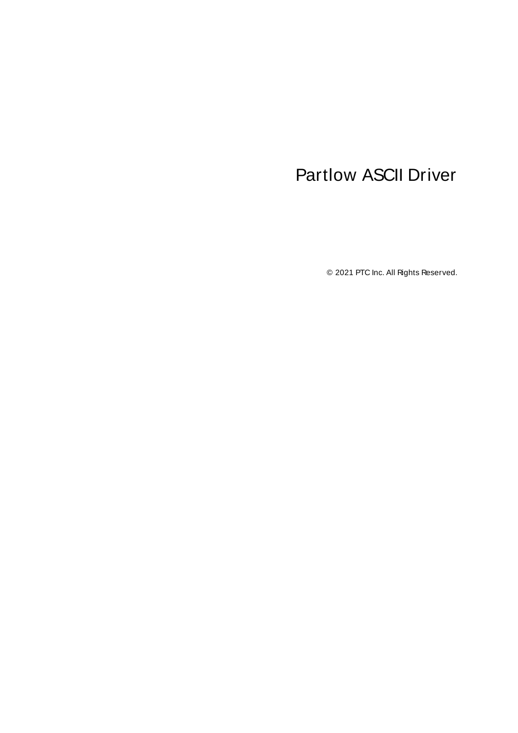# <span id="page-0-0"></span>Partlow ASCII Driver

© 2021 PTC Inc. All Rights Reserved.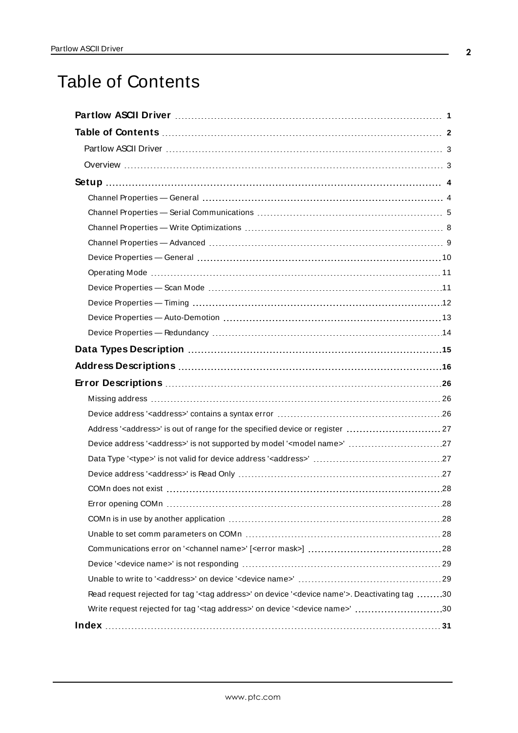# <span id="page-1-0"></span>Table of Contents

| Address' <address>' is out of range for the specified device or register  27</address>                             |
|--------------------------------------------------------------------------------------------------------------------|
| Device address ' <address>' is not supported by model '<model name="">' 27</model></address>                       |
|                                                                                                                    |
|                                                                                                                    |
|                                                                                                                    |
|                                                                                                                    |
|                                                                                                                    |
|                                                                                                                    |
|                                                                                                                    |
|                                                                                                                    |
|                                                                                                                    |
| Read request rejected for tag ' <tag address="">' on device '<device name'="">. Deactivating tag 30</device></tag> |
| Write request rejected for tag ' <tag address="">' on device '<device name="">' 30</device></tag>                  |
|                                                                                                                    |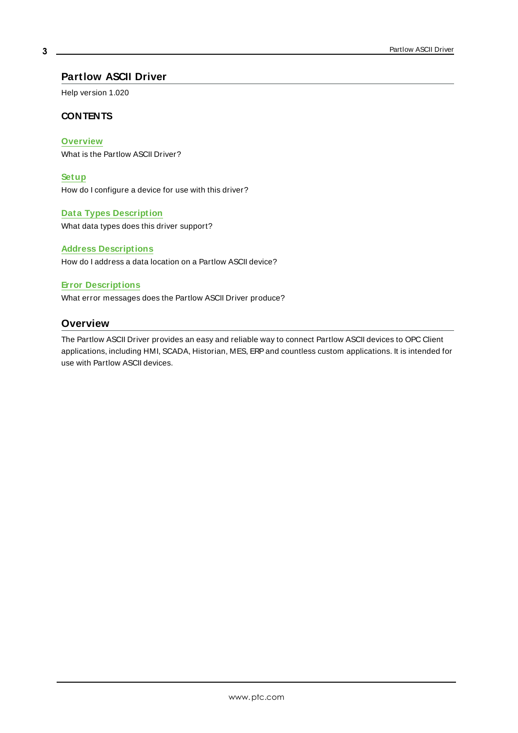#### <span id="page-2-0"></span>**Partlow ASCII Driver**

Help version 1.020

#### **CONTENTS**

#### **[Overview](#page-2-1)**

What is the Partlow ASCII Driver?

#### **[Setup](#page-3-0)**

How do I configure a device for use with this driver?

#### **Data Types [Description](#page-14-0)**

What data types does this driver support?

#### **Address [Descriptions](#page-15-0)**

How do I address a data location on a Partlow ASCII device?

#### **Error [Descriptions](#page-25-0)**

<span id="page-2-1"></span>What error messages does the Partlow ASCII Driver produce?

#### **Overview**

The Partlow ASCII Driver provides an easy and reliable way to connect Partlow ASCII devices to OPC Client applications, including HMI, SCADA, Historian, MES, ERPand countless custom applications. It is intended for use with Partlow ASCII devices.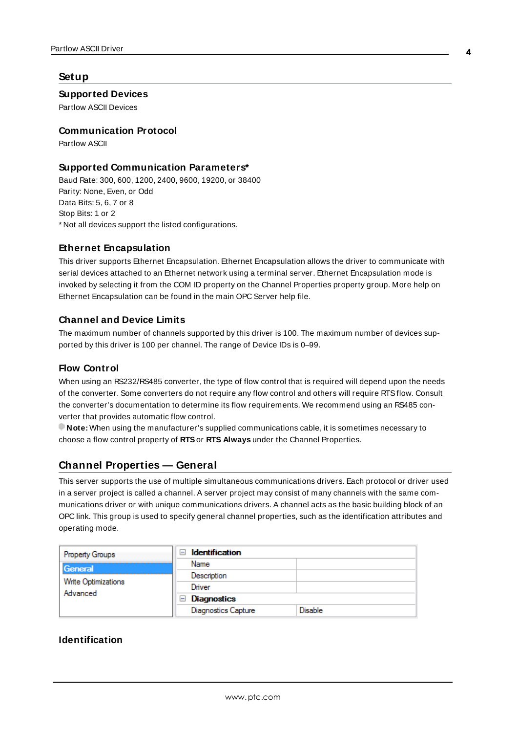#### <span id="page-3-0"></span>**Setup**

#### **Supported Devices**

Partlow ASCII Devices

#### **Communication Protocol**

Partlow ASCII

#### **Supported Communication Parameters\***

Baud Rate: 300, 600, 1200, 2400, 9600, 19200, or 38400 Parity: None, Even, or Odd Data Bits: 5, 6, 7 or 8 Stop Bits: 1 or 2 \* Not all devices support the listed configurations.

#### <span id="page-3-3"></span>**Ethernet Encapsulation**

This driver supports Ethernet Encapsulation. Ethernet Encapsulation allows the driver to communicate with serial devices attached to an Ethernet network using a terminal server. Ethernet Encapsulation mode is invoked by selecting it from the COM ID property on the Channel Properties property group. More help on Ethernet Encapsulation can be found in the main OPC Server help file.

#### <span id="page-3-2"></span>**Channel and Device Limits**

The maximum number of channels supported by this driver is 100. The maximum number of devices supported by this driver is 100 per channel. The range of Device IDs is 0–99.

#### **Flow Control**

When using an RS232/RS485 converter, the type of flow control that is required will depend upon the needs of the converter. Some converters do not require any flow control and others will require RTSflow. Consult the converter's documentation to determine its flow requirements. We recommend using an RS485 converter that provides automatic flow control.

**Note:** When using the manufacturer's supplied communications cable, it is sometimes necessary to choose a flow control property of **RTS**or **RTS Always** under the Channel Properties.

#### <span id="page-3-1"></span>**Channel Properties — General**

This server supports the use of multiple simultaneous communications drivers. Each protocol or driver used in a server project is called a channel. A server project may consist of many channels with the same communications driver or with unique communications drivers. A channel acts as the basic building block of an OPC link. This group is used to specify general channel properties, such as the identification attributes and operating mode.

| Property Groups                 | <b>Identification</b><br>$\overline{\phantom{0}}$ |                |
|---------------------------------|---------------------------------------------------|----------------|
| General                         | Name                                              |                |
| Write Optimizations<br>Advanced | Description                                       |                |
|                                 | Driver                                            |                |
|                                 | $\Box$ Diagnostics                                |                |
|                                 | <b>Diagnostics Capture</b>                        | <b>Disable</b> |

#### **Identification**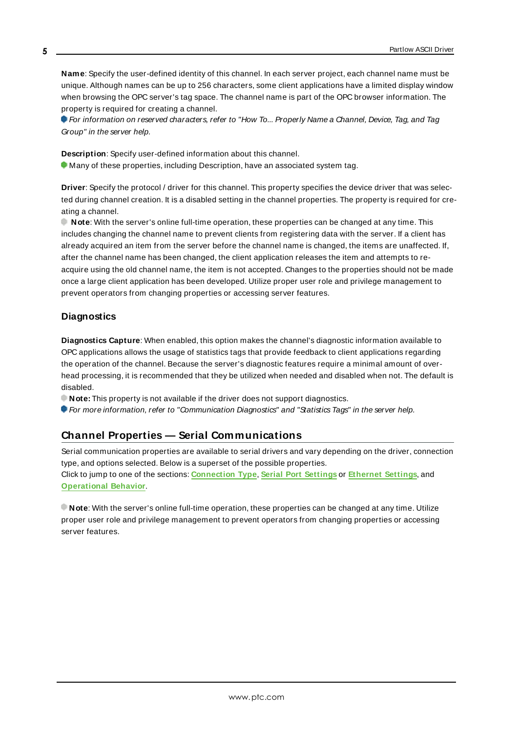**Name**: Specify the user-defined identity of this channel. In each server project, each channel name must be unique. Although names can be up to 256 characters, some client applications have a limited display window when browsing the OPC server's tag space. The channel name is part of the OPC browser information. The property is required for creating a channel.

For information on reserved characters, refer to "How To... Properly Name a Channel, Device, Tag, and Tag Group" in the server help.

**Description**: Specify user-defined information about this channel. **Many of these properties, including Description, have an associated system tag.** 

**Driver**: Specify the protocol / driver for this channel. This property specifies the device driver that was selected during channel creation. It is a disabled setting in the channel properties. The property is required for creating a channel.

**Note**: With the server's online full-time operation, these properties can be changed at any time. This includes changing the channel name to prevent clients from registering data with the server. If a client has already acquired an item from the server before the channel name is changed, the items are unaffected. If, after the channel name has been changed, the client application releases the item and attempts to reacquire using the old channel name, the item is not accepted. Changes to the properties should not be made once a large client application has been developed. Utilize proper user role and privilege management to prevent operators from changing properties or accessing server features.

#### **Diagnostics**

**Diagnostics Capture**: When enabled, this option makes the channel's diagnostic information available to OPC applications allows the usage of statistics tags that provide feedback to client applications regarding the operation of the channel. Because the server's diagnostic features require a minimal amount of overhead processing, it is recommended that they be utilized when needed and disabled when not. The default is disabled.

**Note:** This property is not available if the driver does not support diagnostics.

<span id="page-4-0"></span>For more information, refer to "Communication Diagnostics" and "Statistics Tags" in the server help.

### **Channel Properties — Serial Communications**

Serial communication properties are available to serial drivers and vary depending on the driver, connection type, and options selected. Below is a superset of the possible properties. Click to jump to one of the sections: **[Connection](#page-5-0) Type**, **Serial Port [Settings](#page-5-1)** or **[Ethernet](#page-6-0) Settings**, and **[Operational](#page-6-1) Behavior**.

**Note**: With the server's online full-time operation, these properties can be changed at any time. Utilize proper user role and privilege management to prevent operators from changing properties or accessing server features.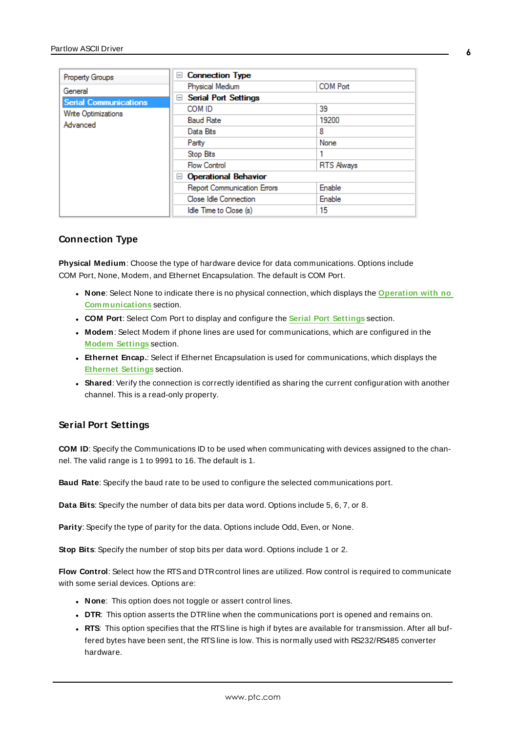| Property Groups              | □ Connection Type                             |                   |
|------------------------------|-----------------------------------------------|-------------------|
| General                      | Physical Medium                               | <b>COM Port</b>   |
| <b>Serial Communications</b> | <b>Serial Port Settings</b><br>$\overline{ }$ |                   |
| Write Optimizations          | COM ID                                        | 39                |
| Advanced                     | <b>Baud Rate</b>                              | 19200             |
|                              | Data Bits                                     | 8                 |
|                              | Parity                                        | None              |
|                              | Stop Bits                                     |                   |
|                              | <b>Flow Control</b>                           | <b>RTS Always</b> |
|                              | □ Operational Behavior                        |                   |
|                              | <b>Report Communication Errors</b>            | Enable            |
|                              | Close Idle Connection                         | Enable            |
|                              | Idle Time to Close (s)                        | 15                |

#### <span id="page-5-0"></span>**Connection Type**

**Physical Medium**: Choose the type of hardware device for data communications. Options include COM Port, None, Modem, and Ethernet Encapsulation. The default is COM Port.

- <sup>l</sup> **None**: Select None to indicate there is no physical connection, which displays the **[Operation](#page-7-1) with no [Communications](#page-7-1)** section.
- <sup>l</sup> **COM Port**: Select Com Port to display and configure the **Serial Port [Settings](#page-5-1)** section.
- **Modem**: Select Modem if phone lines are used for communications, which are configured in the **Modem [Settings](#page-6-2)** section.
- **Ethernet Encap.**: Select if Ethernet Encapsulation is used for communications, which displays the **[Ethernet](#page-6-0) Settings** section.
- Shared: Verify the connection is correctly identified as sharing the current configuration with another channel. This is a read-only property.

#### <span id="page-5-1"></span>**Serial Port Settings**

**COM ID**: Specify the Communications ID to be used when communicating with devices assigned to the channel. The valid range is 1 to 9991 to 16. The default is 1.

**Baud Rate**: Specify the baud rate to be used to configure the selected communications port.

**Data Bits**: Specify the number of data bits per data word. Options include 5, 6, 7, or 8.

**Parity**: Specify the type of parity for the data. Options include Odd, Even, or None.

**Stop Bits**: Specify the number of stop bits per data word. Options include 1 or 2.

**Flow Control**: Select how the RTSand DTRcontrol lines are utilized. Flow control is required to communicate with some serial devices. Options are:

- **None**: This option does not toggle or assert control lines.
- **DTR:** This option asserts the DTR line when the communications port is opened and remains on.
- RTS: This option specifies that the RTS line is high if bytes are available for transmission. After all buffered bytes have been sent, the RTSline is low. This is normally used with RS232/RS485 converter hardware.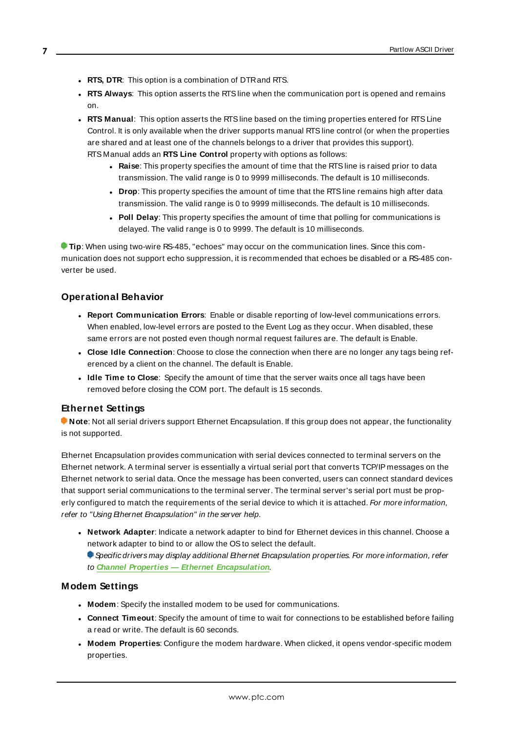- <sup>l</sup> **RTS, DTR**: This option is a combination of DTRand RTS.
- <sup>l</sup> **RTS Always**: This option asserts the RTSline when the communication port is opened and remains on.
- <sup>l</sup> **RTS Manual**: This option asserts the RTSline based on the timing properties entered for RTSLine Control. It is only available when the driver supports manual RTSline control (or when the properties are shared and at least one of the channels belongs to a driver that provides this support). RTS Manual adds an **RTS Line Control** property with options as follows:
	- **Raise**: This property specifies the amount of time that the RTS line is raised prior to data transmission. The valid range is 0 to 9999 milliseconds. The default is 10 milliseconds.
	- **Drop**: This property specifies the amount of time that the RTS line remains high after data transmission. The valid range is 0 to 9999 milliseconds. The default is 10 milliseconds.
	- **Poll Delay**: This property specifies the amount of time that polling for communications is delayed. The valid range is 0 to 9999. The default is 10 milliseconds.

**Tip**: When using two-wire RS-485, "echoes" may occur on the communication lines. Since this communication does not support echo suppression, it is recommended that echoes be disabled or a RS-485 converter be used.

#### <span id="page-6-1"></span>**Operational Behavior**

- <sup>l</sup> **Report Communication Errors**: Enable or disable reporting of low-level communications errors. When enabled, low-level errors are posted to the Event Log as they occur. When disabled, these same errors are not posted even though normal request failures are. The default is Enable.
- <sup>l</sup> **Close Idle Connection**: Choose to close the connection when there are no longer any tags being referenced by a client on the channel. The default is Enable.
- **Idle Time to Close**: Specify the amount of time that the server waits once all tags have been removed before closing the COM port. The default is 15 seconds.

#### <span id="page-6-0"></span>**Ethernet Settings**

**Note**: Not all serial drivers support Ethernet Encapsulation. If this group does not appear, the functionality is not supported.

Ethernet Encapsulation provides communication with serial devices connected to terminal servers on the Ethernet network. A terminal server is essentially a virtual serial port that converts TCP/IP messages on the Ethernet network to serial data. Once the message has been converted, users can connect standard devices that support serial communications to the terminal server. The terminal server's serial port must be properly configured to match the requirements of the serial device to which it is attached. For more information, refer to "Using Ethernet Encapsulation" in the server help.

**Network Adapter**: Indicate a network adapter to bind for Ethernet devices in this channel. Choose a network adapter to bind to or allow the OSto select the default.

Specific drivers may display additional Ethernet Encapsulation properties. For more information, refer to **Channel Properties — Ethernet Encapsulation**.

#### <span id="page-6-2"></span>**Modem Settings**

- **Modem**: Specify the installed modem to be used for communications.
- <sup>l</sup> **Connect Timeout**: Specify the amount of time to wait for connections to be established before failing a read or write. The default is 60 seconds.
- <sup>l</sup> **Modem Properties**: Configure the modem hardware. When clicked, it opens vendor-specific modem properties.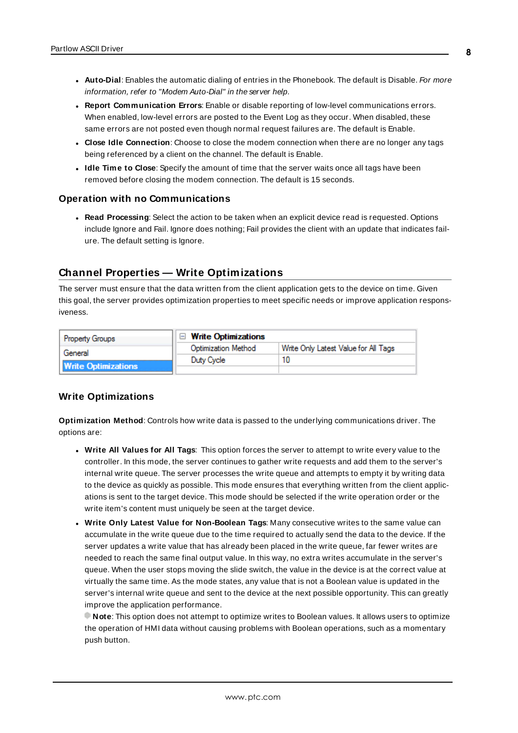- **Auto-Dial**: Enables the automatic dialing of entries in the Phonebook. The default is Disable. For more information, refer to "Modem Auto-Dial" in the server help.
- <sup>l</sup> **Report Communication Errors**: Enable or disable reporting of low-level communications errors. When enabled, low-level errors are posted to the Event Log as they occur. When disabled, these same errors are not posted even though normal request failures are. The default is Enable.
- <sup>l</sup> **Close Idle Connection**: Choose to close the modem connection when there are no longer any tags being referenced by a client on the channel. The default is Enable.
- **.** Idle Time to Close: Specify the amount of time that the server waits once all tags have been removed before closing the modem connection. The default is 15 seconds.

#### <span id="page-7-1"></span>**Operation with no Communications**

<sup>l</sup> **Read Processing**: Select the action to be taken when an explicit device read is requested. Options include Ignore and Fail. Ignore does nothing; Fail provides the client with an update that indicates failure. The default setting is Ignore.

# <span id="page-7-0"></span>**Channel Properties — Write Optimizations**

The server must ensure that the data written from the client application gets to the device on time. Given this goal, the server provides optimization properties to meet specific needs or improve application responsiveness.

| <b>Property Groups</b>     | $\Box$ Write Optimizations |                                      |
|----------------------------|----------------------------|--------------------------------------|
| General                    | <b>Optimization Method</b> | Write Only Latest Value for All Tags |
|                            | Duty Cycle                 |                                      |
| <b>Write Optimizations</b> |                            |                                      |

#### **Write Optimizations**

**Optimization Method**: Controls how write data is passed to the underlying communications driver. The options are:

- <sup>l</sup> **Write All Values for All Tags**: This option forces the server to attempt to write every value to the controller. In this mode, the server continues to gather write requests and add them to the server's internal write queue. The server processes the write queue and attempts to empty it by writing data to the device as quickly as possible. This mode ensures that everything written from the client applications is sent to the target device. This mode should be selected if the write operation order or the write item's content must uniquely be seen at the target device.
- <sup>l</sup> **Write Only Latest Value for Non-Boolean Tags**: Many consecutive writes to the same value can accumulate in the write queue due to the time required to actually send the data to the device. If the server updates a write value that has already been placed in the write queue, far fewer writes are needed to reach the same final output value. In this way, no extra writes accumulate in the server's queue. When the user stops moving the slide switch, the value in the device is at the correct value at virtually the same time. As the mode states, any value that is not a Boolean value is updated in the server's internal write queue and sent to the device at the next possible opportunity. This can greatly improve the application performance.

**Note**: This option does not attempt to optimize writes to Boolean values. It allows users to optimize the operation of HMI data without causing problems with Boolean operations, such as a momentary push button.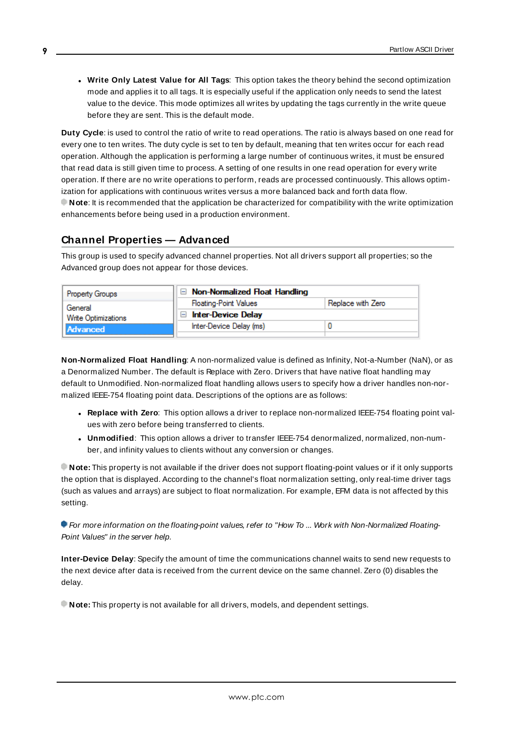**.** Write Only Latest Value for All Tags: This option takes the theory behind the second optimization mode and applies it to all tags. It is especially useful if the application only needs to send the latest value to the device. This mode optimizes all writes by updating the tags currently in the write queue before they are sent. This is the default mode.

**Duty Cycle**: is used to control the ratio of write to read operations. The ratio is always based on one read for every one to ten writes. The duty cycle is set to ten by default, meaning that ten writes occur for each read operation. Although the application is performing a large number of continuous writes, it must be ensured that read data is still given time to process. A setting of one results in one read operation for every write operation. If there are no write operations to perform, reads are processed continuously. This allows optimization for applications with continuous writes versus a more balanced back and forth data flow. **Note**: It is recommended that the application be characterized for compatibility with the write optimization enhancements before being used in a production environment.

# <span id="page-8-0"></span>**Channel Properties — Advanced**

This group is used to specify advanced channel properties. Not all drivers support all properties; so the Advanced group does not appear for those devices.

| <b>Property Groups</b> | Non-Normalized Float Handling |                   |
|------------------------|-------------------------------|-------------------|
| General                | <b>Floating-Point Values</b>  | Replace with Zero |
| Write Optimizations    | <b>Inter-Device Delay</b>     |                   |
| Advanced               | Inter-Device Delay (ms)       |                   |
|                        |                               |                   |

**Non-Normalized Float Handling**: A non-normalized value is defined as Infinity, Not-a-Number (NaN), or as a Denormalized Number. The default is Replace with Zero. Drivers that have native float handling may default to Unmodified. Non-normalized float handling allows users to specify how a driver handles non-normalized IEEE-754 floating point data. Descriptions of the options are as follows:

- <sup>l</sup> **Replace with Zero**: This option allows a driver to replace non-normalized IEEE-754 floating point values with zero before being transferred to clients.
- **· Unmodified**: This option allows a driver to transfer IEEE-754 denormalized, normalized, non-number, and infinity values to clients without any conversion or changes.

**Note:** This property is not available if the driver does not support floating-point values or if it only supports the option that is displayed. According to the channel's float normalization setting, only real-time driver tags (such as values and arrays) are subject to float normalization. For example, EFM data is not affected by this setting.

For more information on the floating-point values, refer to "How To ... Work with Non-Normalized Floating-Point Values" in the server help.

**Inter-Device Delay**: Specify the amount of time the communications channel waits to send new requests to the next device after data is received from the current device on the same channel. Zero (0) disables the delay.

**Note:** This property is not available for all drivers, models, and dependent settings.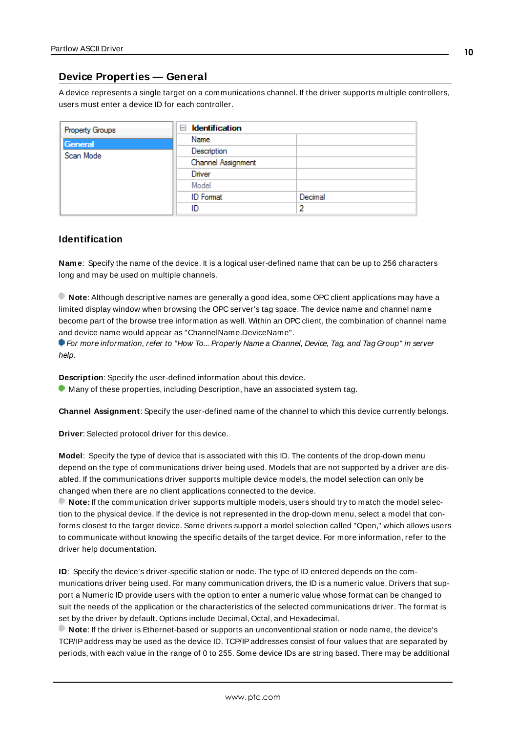### <span id="page-9-0"></span>**Device Properties — General**

A device represents a single target on a communications channel. If the driver supports multiple controllers, users must enter a device ID for each controller.

| Property Groups | <b>Identification</b><br>$=$ |         |
|-----------------|------------------------------|---------|
| General         | Name                         |         |
| Scan Mode       | Description                  |         |
|                 | Channel Assignment           |         |
|                 | Driver                       |         |
|                 | Model                        |         |
|                 | <b>ID</b> Format             | Decimal |
|                 | ID                           |         |

#### <span id="page-9-5"></span>**Identification**

**Name**: Specify the name of the device. It is a logical user-defined name that can be up to 256 characters long and may be used on multiple channels.

**Note**: Although descriptive names are generally a good idea, some OPC client applications may have a limited display window when browsing the OPC server's tag space. The device name and channel name become part of the browse tree information as well. Within an OPC client, the combination of channel name and device name would appear as "ChannelName.DeviceName".

For more information, refer to "How To... Properly Name a Channel, Device, Tag, and Tag Group" in server help.

**Description**: Specify the user-defined information about this device.

<span id="page-9-1"></span>**Many of these properties, including Description, have an associated system tag.** 

<span id="page-9-2"></span>**Channel Assignment**: Specify the user-defined name of the channel to which this device currently belongs.

<span id="page-9-4"></span>**Driver**: Selected protocol driver for this device.

**Model**: Specify the type of device that is associated with this ID. The contents of the drop-down menu depend on the type of communications driver being used. Models that are not supported by a driver are disabled. If the communications driver supports multiple device models, the model selection can only be changed when there are no client applications connected to the device.

**Note:** If the communication driver supports multiple models, users should try to match the model selection to the physical device. If the device is not represented in the drop-down menu, select a model that conforms closest to the target device. Some drivers support a model selection called "Open," which allows users to communicate without knowing the specific details of the target device. For more information, refer to the driver help documentation.

<span id="page-9-3"></span>**ID**: Specify the device's driver-specific station or node. The type of ID entered depends on the communications driver being used. For many communication drivers, the ID is a numeric value. Drivers that support a Numeric ID provide users with the option to enter a numeric value whose format can be changed to suit the needs of the application or the characteristics of the selected communications driver. The format is set by the driver by default. Options include Decimal, Octal, and Hexadecimal.

**Note**: If the driver is Ethernet-based or supports an unconventional station or node name, the device's TCP/IPaddress may be used as the device ID. TCP/IPaddresses consist of four values that are separated by periods, with each value in the range of 0 to 255. Some device IDs are string based. There may be additional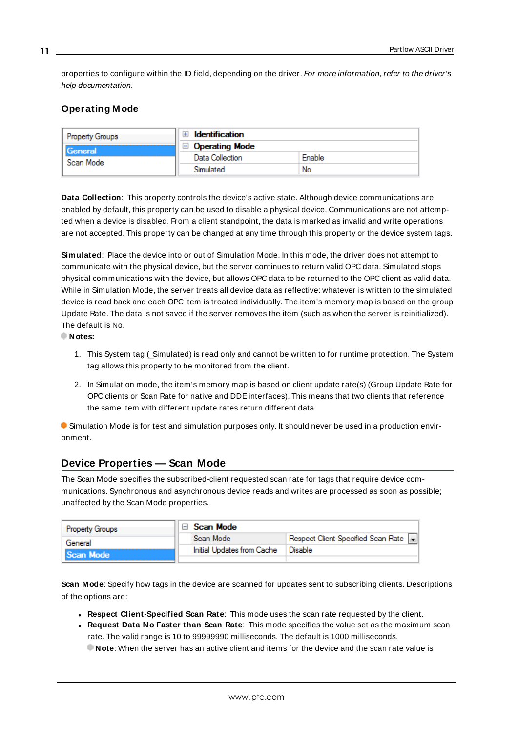properties to configure within the ID field, depending on the driver. For more information, refer to the driver's help documentation.

### <span id="page-10-0"></span>**Operating Mode**

| <b>Property Groups</b> | <b>Identification</b><br>Ŧ                        |        |
|------------------------|---------------------------------------------------|--------|
| General                | <b>Operating Mode</b><br>$\overline{\phantom{0}}$ |        |
| Scan Mode              | Data Collection                                   | Enable |
|                        |                                                   | No     |

<span id="page-10-2"></span>**Data Collection**: This property controls the device's active state. Although device communications are enabled by default, this property can be used to disable a physical device. Communications are not attempted when a device is disabled. From a client standpoint, the data is marked as invalid and write operations are not accepted. This property can be changed at any time through this property or the device system tags.

<span id="page-10-4"></span>**Simulated**: Place the device into or out of Simulation Mode. In this mode, the driver does not attempt to communicate with the physical device, but the server continues to return valid OPC data. Simulated stops physical communications with the device, but allows OPC data to be returned to the OPC client as valid data. While in Simulation Mode, the server treats all device data as reflective: whatever is written to the simulated device is read back and each OPC item is treated individually. The item's memory map is based on the group Update Rate. The data is not saved if the server removes the item (such as when the server is reinitialized). The default is No.

**Notes:**

- 1. This System tag (Simulated) is read only and cannot be written to for runtime protection. The System tag allows this property to be monitored from the client.
- 2. In Simulation mode, the item's memory map is based on client update rate(s) (Group Update Rate for OPC clients or Scan Rate for native and DDEinterfaces). This means that two clients that reference the same item with different update rates return different data.

 Simulation Mode is for test and simulation purposes only. It should never be used in a production environment.

### <span id="page-10-1"></span>**Device Properties — Scan Mode**

The Scan Mode specifies the subscribed-client requested scan rate for tags that require device communications. Synchronous and asynchronous device reads and writes are processed as soon as possible; unaffected by the Scan Mode properties.

| Property Groups | Scan Mode                  |                                    |
|-----------------|----------------------------|------------------------------------|
| General         | Scan Mode                  | Respect Client-Specified Scan Rate |
| Scan Mode       | Initial Updates from Cache | Disable                            |
|                 |                            |                                    |

<span id="page-10-3"></span>**Scan Mode**: Specify how tags in the device are scanned for updates sent to subscribing clients. Descriptions of the options are:

- <sup>l</sup> **Respect Client-Specified Scan Rate**: This mode uses the scan rate requested by the client.
- <sup>l</sup> **Request Data No Faster than Scan Rate**: This mode specifies the value set as the maximum scan rate. The valid range is 10 to 99999990 milliseconds. The default is 1000 milliseconds.

**Note**: When the server has an active client and items for the device and the scan rate value is

**11**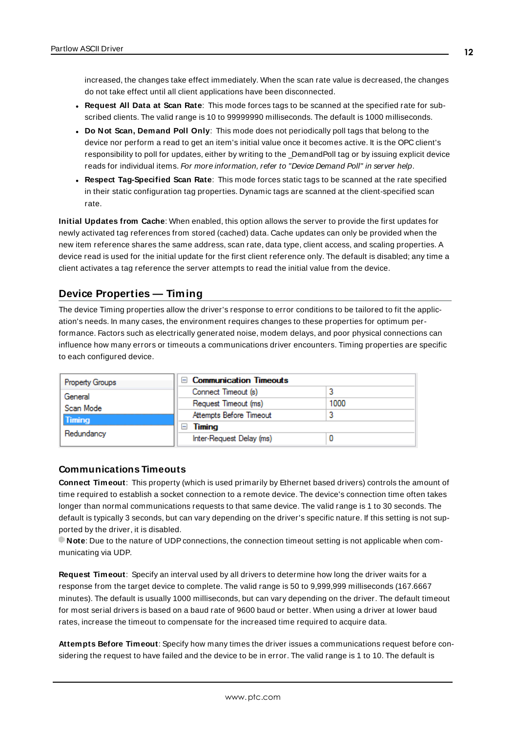increased, the changes take effect immediately. When the scan rate value is decreased, the changes do not take effect until all client applications have been disconnected.

- <span id="page-11-3"></span><sup>l</sup> **Request All Data at Scan Rate**: This mode forces tags to be scanned at the specified rate for subscribed clients. The valid range is 10 to 99999990 milliseconds. The default is 1000 milliseconds.
- <sup>l</sup> **Do Not Scan, Demand Poll Only**: This mode does not periodically poll tags that belong to the device nor perform a read to get an item's initial value once it becomes active. It is the OPC client's responsibility to poll for updates, either by writing to the \_DemandPoll tag or by issuing explicit device reads for individual items. For more information, refer to "Device Demand Poll" in server help.
- <span id="page-11-6"></span><sup>l</sup> **Respect Tag-Specified Scan Rate**: This mode forces static tags to be scanned at the rate specified in their static configuration tag properties. Dynamic tags are scanned at the client-specified scan rate.

<span id="page-11-4"></span>**Initial Updates from Cache**: When enabled, this option allows the server to provide the first updates for newly activated tag references from stored (cached) data. Cache updates can only be provided when the new item reference shares the same address, scan rate, data type, client access, and scaling properties. A device read is used for the initial update for the first client reference only. The default is disabled; any time a client activates a tag reference the server attempts to read the initial value from the device.

### <span id="page-11-1"></span><span id="page-11-0"></span>**Device Properties — Timing**

The device Timing properties allow the driver's response to error conditions to be tailored to fit the application's needs. In many cases, the environment requires changes to these properties for optimum performance. Factors such as electrically generated noise, modem delays, and poor physical connections can influence how many errors or timeouts a communications driver encounters. Timing properties are specific to each configured device.

| <b>Property Groups</b> | □ Communication Timeouts |      |
|------------------------|--------------------------|------|
| General                | Connect Timeout (s)      |      |
| Scan Mode              | Request Timeout (ms)     | 1000 |
| Timing                 | Attempts Before Timeout  |      |
|                        | Timing<br>ь              |      |
| Redundancy             | Inter-Request Delay (ms) |      |

#### <span id="page-11-2"></span>**Communications Timeouts**

**Connect Timeout**: This property (which is used primarily by Ethernet based drivers) controls the amount of time required to establish a socket connection to a remote device. The device's connection time often takes longer than normal communications requests to that same device. The valid range is 1 to 30 seconds. The default is typically 3 seconds, but can vary depending on the driver's specific nature. If this setting is not supported by the driver, it is disabled.

**Note:** Due to the nature of UDP connections, the connection timeout setting is not applicable when communicating via UDP.

<span id="page-11-5"></span>**Request Timeout**: Specify an interval used by all drivers to determine how long the driver waits for a response from the target device to complete. The valid range is 50 to 9,999,999 milliseconds (167.6667 minutes). The default is usually 1000 milliseconds, but can vary depending on the driver. The default timeout for most serial drivers is based on a baud rate of 9600 baud or better. When using a driver at lower baud rates, increase the timeout to compensate for the increased time required to acquire data.

**Attempts Before Timeout**: Specify how many times the driver issues a communications request before considering the request to have failed and the device to be in error. The valid range is 1 to 10. The default is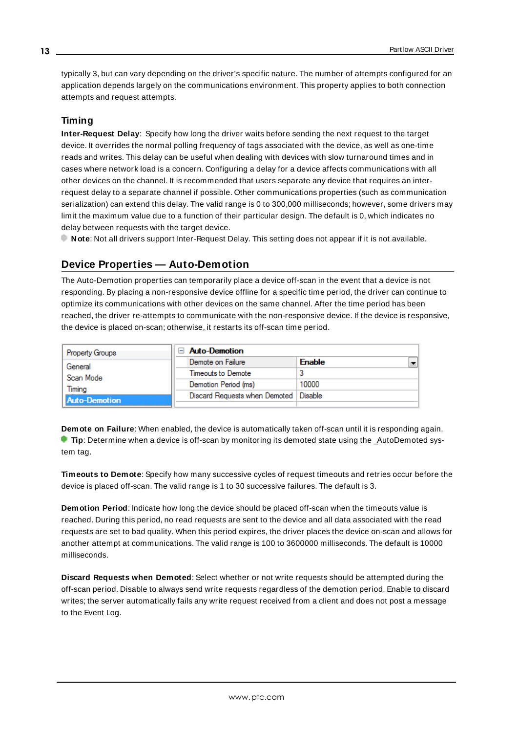<span id="page-12-1"></span>typically 3, but can vary depending on the driver's specific nature. The number of attempts configured for an application depends largely on the communications environment. This property applies to both connection attempts and request attempts.

#### <span id="page-12-5"></span>**Timing**

**Inter-Request Delay**: Specify how long the driver waits before sending the next request to the target device. It overrides the normal polling frequency of tags associated with the device, as well as one-time reads and writes. This delay can be useful when dealing with devices with slow turnaround times and in cases where network load is a concern. Configuring a delay for a device affects communications with all other devices on the channel. It is recommended that users separate any device that requires an interrequest delay to a separate channel if possible. Other communications properties (such as communication serialization) can extend this delay. The valid range is 0 to 300,000 milliseconds; however, some drivers may limit the maximum value due to a function of their particular design. The default is 0, which indicates no delay between requests with the target device.

<span id="page-12-0"></span>**Note**: Not all drivers support Inter-Request Delay. This setting does not appear if it is not available.

# **Device Properties — Auto-Demotion**

The Auto-Demotion properties can temporarily place a device off-scan in the event that a device is not responding. By placing a non-responsive device offline for a specific time period, the driver can continue to optimize its communications with other devices on the same channel. After the time period has been reached, the driver re-attempts to communicate with the non-responsive device. If the device is responsive, the device is placed on-scan; otherwise, it restarts its off-scan time period.

| <b>Property Groups</b> | <b>Auto-Demotion</b>                    |               |  |
|------------------------|-----------------------------------------|---------------|--|
| General                | Demote on Failure                       | <b>Enable</b> |  |
| Scan Mode              | Timeouts to Demote                      |               |  |
| Timina                 | Demotion Period (ms)                    | 10000         |  |
| <b>Auto-Demotion</b>   | Discard Requests when Demoted   Disable |               |  |
|                        |                                         |               |  |

<span id="page-12-2"></span>**Demote on Failure**: When enabled, the device is automatically taken off-scan until it is responding again. **Tip:** Determine when a device is off-scan by monitoring its demoted state using the \_AutoDemoted system tag.

<span id="page-12-6"></span>**Timeouts to Demote**: Specify how many successive cycles of request timeouts and retries occur before the device is placed off-scan. The valid range is 1 to 30 successive failures. The default is 3.

<span id="page-12-3"></span>**Demotion Period**: Indicate how long the device should be placed off-scan when the timeouts value is reached. During this period, no read requests are sent to the device and all data associated with the read requests are set to bad quality. When this period expires, the driver places the device on-scan and allows for another attempt at communications. The valid range is 100 to 3600000 milliseconds. The default is 10000 milliseconds.

<span id="page-12-4"></span>**Discard Requests when Demoted**: Select whether or not write requests should be attempted during the off-scan period. Disable to always send write requests regardless of the demotion period. Enable to discard writes; the server automatically fails any write request received from a client and does not post a message to the Event Log.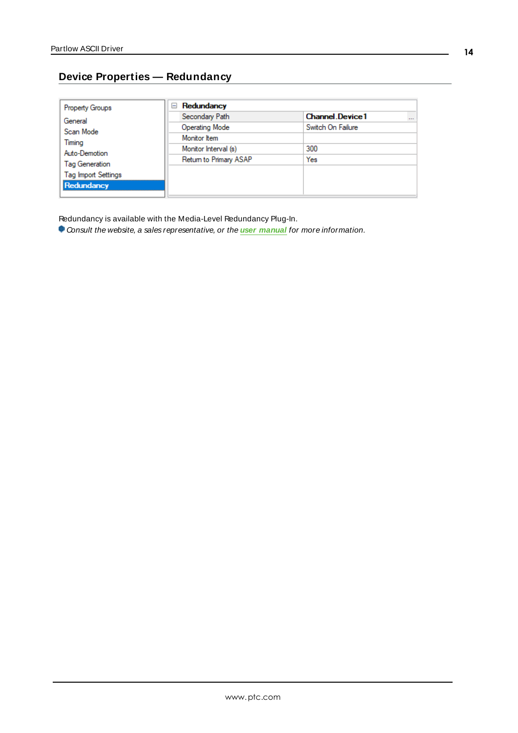# <span id="page-13-0"></span>**Device Properties — Redundancy**

| <b>Property Groups</b>     | Redundancy<br>$=$      |                                    |
|----------------------------|------------------------|------------------------------------|
| General                    | Secondary Path         | <b>Channel</b> Device1<br>$\cdots$ |
| Scan Mode                  | <b>Operating Mode</b>  | Switch On Failure                  |
| Timing                     | Monitor Item           |                                    |
| Auto-Demotion              | Monitor Interval (s)   | 300                                |
| Tag Generation             | Return to Primary ASAP | Yes                                |
| <b>Tag Import Settings</b> |                        |                                    |
|                            |                        |                                    |
| Redundancy                 |                        |                                    |

Redundancy is available with the Media-Level Redundancy Plug-In.

Consult the website, a sales representative, or the **user [manual](https://www.kepware.com/getattachment/35461efd-b53a-4219-a109-a89fad20b230/media-level-redundancy-manual.pdf)** for more information.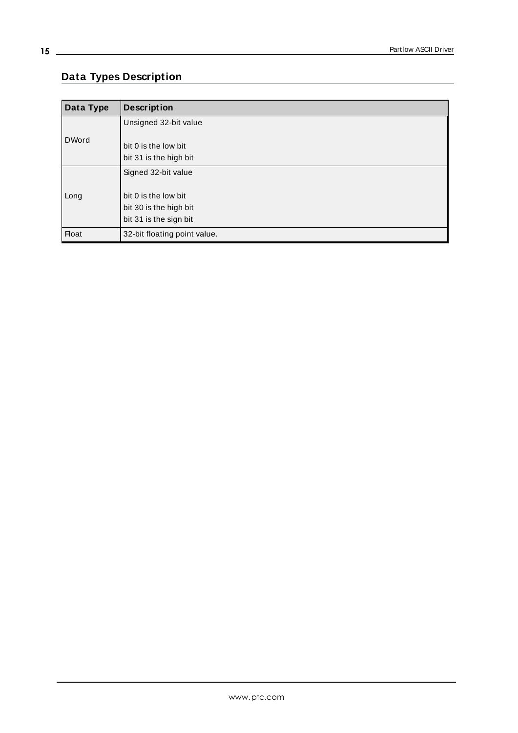# <span id="page-14-0"></span>**Data Types Description**

<span id="page-14-3"></span><span id="page-14-2"></span><span id="page-14-1"></span>

| Data Type    | <b>Description</b>                                                       |
|--------------|--------------------------------------------------------------------------|
|              | Unsigned 32-bit value                                                    |
| <b>DWord</b> | bit 0 is the low bit<br>bit 31 is the high bit                           |
|              | Signed 32-bit value                                                      |
| Long         | bit 0 is the low bit<br>bit 30 is the high bit<br>bit 31 is the sign bit |
| <b>Float</b> | 32-bit floating point value.                                             |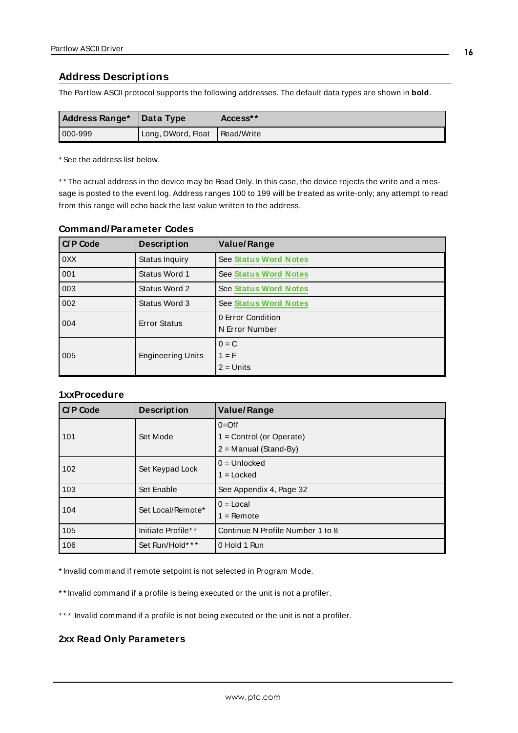### <span id="page-15-0"></span>**Address Descriptions**

The Partlow ASCII protocol supports the following addresses. The default data types are shown in **bold**.

| Address Range* | Data Type                       | Access** |
|----------------|---------------------------------|----------|
| $ 000 - 999 $  | Long, DWord, Float   Read/Write |          |

\* See the address list below.

\* \* The actual address in the device may be Read Only. In this case, the device rejects the write and a message is posted to the event log. Address ranges 100 to 199 will be treated as write-only; any attempt to read from this range will echo back the last value written to the address.

| <b>C/P Code</b> | <b>Description</b>       | <b>Value/Range</b>                  |
|-----------------|--------------------------|-------------------------------------|
| 0XX             | Status Inquiry           | <b>See Status Word Notes</b>        |
| 001             | Status Word 1            | <b>See Status Word Notes</b>        |
| 003             | Status Word 2            | <b>See Status Word Notes</b>        |
| 002             | Status Word 3            | See Status Word Notes               |
| 004             | <b>Error Status</b>      | 0 Error Condition<br>N Error Number |
| 005             | <b>Engineering Units</b> | $0 = C$<br>$1 = F$<br>$2 =$ Units   |

#### **Command/Parameter Codes**

#### **1xxProcedure**

| <b>C/P Code</b> | <b>Description</b> | <b>Value/Range</b>               |
|-----------------|--------------------|----------------------------------|
|                 |                    | $0=Off$                          |
| 101             | Set Mode           | $1 =$ Control (or Operate)       |
|                 |                    | $2 =$ Manual (Stand-By)          |
| 102             | Set Keypad Lock    | $0 =$ Unlocked                   |
|                 |                    | $1 =$ Locked                     |
| 103             | Set Enable         | See Appendix 4, Page 32          |
| 104             | Set Local/Remote*  | $0 =$ Local                      |
|                 |                    | $1 =$ Remote                     |
| 105             | Initiate Profile** | Continue N Profile Number 1 to 8 |
| 106             | Set Run/Hold***    | 0 Hold 1 Run                     |

\* Invalid command if remote setpoint is not selected in Program Mode.

\*\* Invalid command if a profile is being executed or the unit is not a profiler.

\*\*\* Invalid command if a profile is not being executed or the unit is not a profiler.

#### **2xx Read Only Parameters**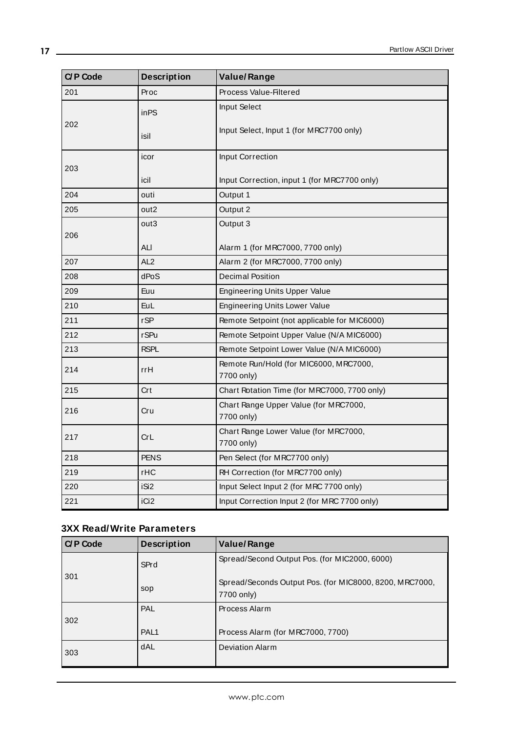| <b>C/P Code</b> | <b>Description</b> | <b>Value/Range</b>                                   |
|-----------------|--------------------|------------------------------------------------------|
| 201             | Proc               | Process Value-Filtered                               |
|                 | in <sub>PS</sub>   | Input Select                                         |
| 202             | isil               | Input Select, Input 1 (for MRC7700 only)             |
|                 | icor               | Input Correction                                     |
| 203             | icil               | Input Correction, input 1 (for MRC7700 only)         |
| 204             | outi               | Output 1                                             |
| 205             | out <sub>2</sub>   | Output 2                                             |
|                 | out3               | Output 3                                             |
| 206             | ALI                | Alarm 1 (for MRC7000, 7700 only)                     |
| 207             | AL <sub>2</sub>    | Alarm 2 (for MRC7000, 7700 only)                     |
| 208             | dPoS               | <b>Decimal Position</b>                              |
| 209             | Euu                | <b>Engineering Units Upper Value</b>                 |
| 210             | <b>EuL</b>         | <b>Engineering Units Lower Value</b>                 |
| 211             | rSP                | Remote Setpoint (not applicable for MIC6000)         |
| 212             | <b>r</b> SPu       | Remote Setpoint Upper Value (N/A MIC6000)            |
| 213             | <b>RSPL</b>        | Remote Setpoint Lower Value (N/A MIC6000)            |
| 214             | rrH                | Remote Run/Hold (for MIC6000, MRC7000,<br>7700 only) |
| 215             | Crt                | Chart Rotation Time (for MRC7000, 7700 only)         |
| 216             | Cru                | Chart Range Upper Value (for MRC7000,<br>7700 only)  |
| 217             | CrL                | Chart Range Lower Value (for MRC7000,<br>7700 only)  |
| 218             | <b>PENS</b>        | Pen Select (for MRC7700 only)                        |
| 219             | rHC                | RH Correction (for MRC7700 only)                     |
| 220             | iSi2               | Input Select Input 2 (for MRC 7700 only)             |
| 221             | iCi <sub>2</sub>   | Input Correction Input 2 (for MRC 7700 only)         |

# **3XX Read/Write Parameters**

| <b>C/P Code</b> | <b>Description</b> | Value/Range                                                           |
|-----------------|--------------------|-----------------------------------------------------------------------|
|                 | SPrd               | Spread/Second Output Pos. (for MIC2000, 6000)                         |
| 301             | sop                | Spread/Seconds Output Pos. (for MIC8000, 8200, MRC7000,<br>7700 only) |
| 302             | PAL                | Process Alarm                                                         |
|                 | PAL <sub>1</sub>   | Process Alarm (for MRC7000, 7700)                                     |
| 303             | dAL                | <b>Deviation Alarm</b>                                                |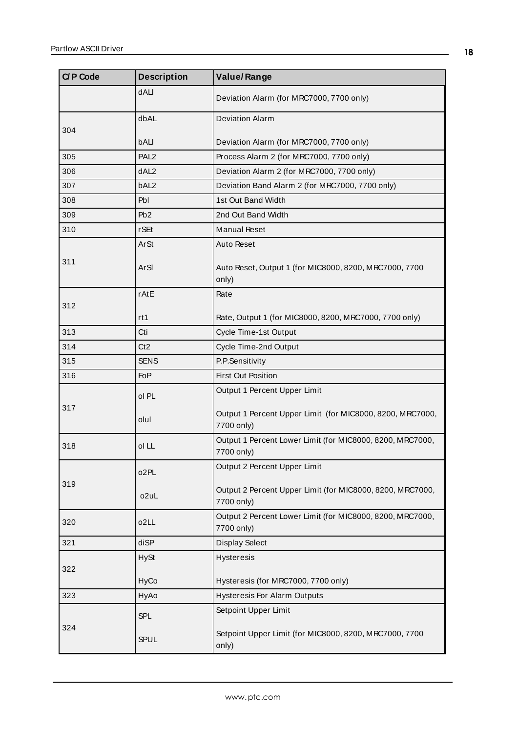| <b>C/P Code</b> | <b>Description</b> | <b>Value/Range</b>                                                      |
|-----------------|--------------------|-------------------------------------------------------------------------|
|                 | <b>dALI</b>        | Deviation Alarm (for MRC7000, 7700 only)                                |
| 304             | dbAL               | <b>Deviation Alarm</b>                                                  |
|                 | bALI               | Deviation Alarm (for MRC7000, 7700 only)                                |
| 305             | PAL <sub>2</sub>   | Process Alarm 2 (for MRC7000, 7700 only)                                |
| 306             | dAL <sub>2</sub>   | Deviation Alarm 2 (for MRC7000, 7700 only)                              |
| 307             | bAL <sub>2</sub>   | Deviation Band Alarm 2 (for MRC7000, 7700 only)                         |
| 308             | Pbl                | 1st Out Band Width                                                      |
| 309             | Pb2                | 2nd Out Band Width                                                      |
| 310             | <b>rSEt</b>        | <b>Manual Reset</b>                                                     |
|                 | ArSt               | Auto Reset                                                              |
| 311             | ArSI               | Auto Reset, Output 1 (for MIC8000, 8200, MRC7000, 7700<br>only)         |
|                 | rAtE               | Rate                                                                    |
| 312             | rt1                | Rate, Output 1 (for MIC8000, 8200, MRC7000, 7700 only)                  |
| 313             | Cti                | Cycle Time-1st Output                                                   |
| 314             | Ct2                | Cycle Time-2nd Output                                                   |
| 315             | <b>SENS</b>        | P.P.Sensitivity                                                         |
| 316             | <b>FoP</b>         | <b>First Out Position</b>                                               |
| 317             | ol PL              | Output 1 Percent Upper Limit                                            |
|                 | olul               | Output 1 Percent Upper Limit (for MIC8000, 8200, MRC7000,<br>7700 only) |
| 318             | ol LL              | Output 1 Percent Lower Limit (for MIC8000, 8200, MRC7000,<br>7700 only) |
|                 | o2PL               | Output 2 Percent Upper Limit                                            |
| 319             | o <sub>2u</sub> L  | Output 2 Percent Upper Limit (for MIC8000, 8200, MRC7000,<br>7700 only) |
| 320             | o2LL               | Output 2 Percent Lower Limit (for MIC8000, 8200, MRC7000,<br>7700 only) |
| 321             | diSP               | <b>Display Select</b>                                                   |
|                 | <b>HySt</b>        | Hysteresis                                                              |
| 322             | <b>HyCo</b>        | Hysteresis (for MRC7000, 7700 only)                                     |
| 323             | HyAo               | <b>Hysteresis For Alarm Outputs</b>                                     |
|                 | SPL                | Setpoint Upper Limit                                                    |
| 324             | <b>SPUL</b>        | Setpoint Upper Limit (for MIC8000, 8200, MRC7000, 7700<br>only)         |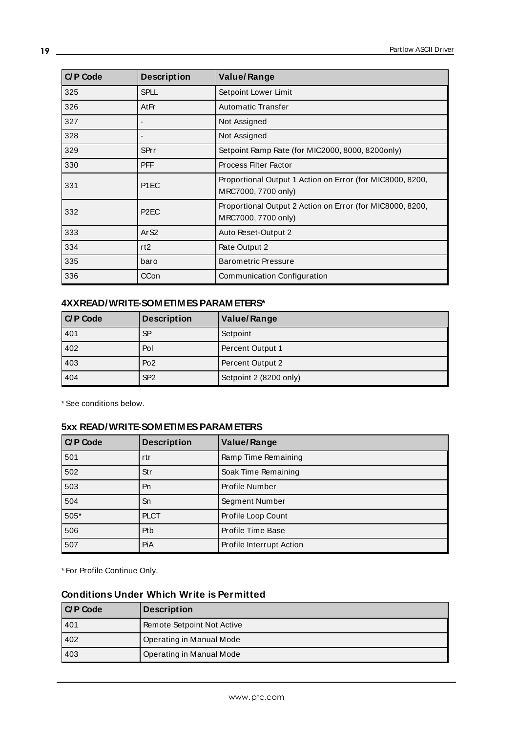| <b>C/P Code</b> | <b>Description</b> | <b>Value/Range</b>                                                               |
|-----------------|--------------------|----------------------------------------------------------------------------------|
| 325             | <b>SPLL</b>        | Setpoint Lower Limit                                                             |
| 326             | AtFr               | <b>Automatic Transfer</b>                                                        |
| 327             |                    | Not Assigned                                                                     |
| 328             |                    | Not Assigned                                                                     |
| 329             | <b>SPrr</b>        | Setpoint Ramp Rate (for MIC2000, 8000, 8200only)                                 |
| 330             | <b>PFF</b>         | <b>Process Filter Factor</b>                                                     |
| 331             | P <sub>1</sub> EC  | Proportional Output 1 Action on Error (for MIC8000, 8200,<br>MRC7000, 7700 only) |
| 332             | P <sub>2</sub> EC  | Proportional Output 2 Action on Error (for MIC8000, 8200,<br>MRC7000, 7700 only) |
| 333             | Ar <sub>S2</sub>   | Auto Reset-Output 2                                                              |
| 334             | rt <sub>2</sub>    | Rate Output 2                                                                    |
| 335             | baro               | <b>Barometric Pressure</b>                                                       |
| 336             | CCon               | Communication Configuration                                                      |

### **4XXREAD/WRITE-SOMETIMES PARAMETERS\***

| C/P Code | <b>Description</b> | Value/Range            |
|----------|--------------------|------------------------|
| 401      | <b>SP</b>          | Setpoint               |
| 402      | Pol                | Percent Output 1       |
| 403      | Po <sub>2</sub>    | Percent Output 2       |
| 404      | SP <sub>2</sub>    | Setpoint 2 (8200 only) |

\* See conditions below.

### **5xx READ/WRITE-SOMETIMESPARAMETERS**

| $C$ P Code | <b>Description</b> | <b>Value/Range</b>       |
|------------|--------------------|--------------------------|
| 501        | rtr                | Ramp Time Remaining      |
| 502        | Str                | Soak Time Remaining      |
| 503        | Pn                 | Profile Number           |
| 504        | Sn                 | Segment Number           |
| $505*$     | <b>PLCT</b>        | Profile Loop Count       |
| 506        | Ptb                | Profile Time Base        |
| 507        | PiA                | Profile Interrupt Action |

\* For Profile Continue Only.

#### **Conditions Under Which Write is Permitted**

| I C/P Code | <b>Description</b>         |
|------------|----------------------------|
| 401        | Remote Setpoint Not Active |
| 402        | Operating in Manual Mode   |
| 403        | Operating in Manual Mode   |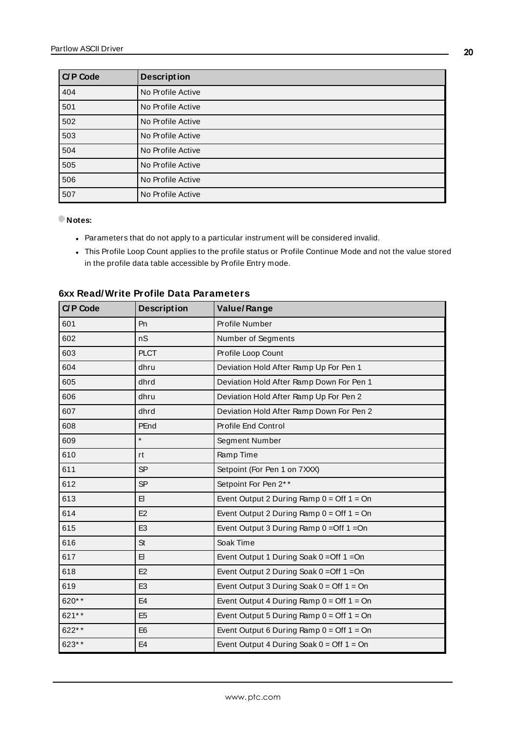| $C$ P Code | <b>Description</b> |
|------------|--------------------|
| 404        | No Profile Active  |
| 501        | No Profile Active  |
| 502        | No Profile Active  |
| 503        | No Profile Active  |
| 504        | No Profile Active  |
| 505        | No Profile Active  |
| 506        | No Profile Active  |
| 507        | No Profile Active  |

#### **Notes:**

- Parameters that do not apply to a particular instrument will be considered invalid.
- This Profile Loop Count applies to the profile status or Profile Continue Mode and not the value stored in the profile data table accessible by Profile Entry mode.

| <b>C/P Code</b> | <b>Description</b> | <b>Value/Range</b>                                          |
|-----------------|--------------------|-------------------------------------------------------------|
| 601             | Pn                 | Profile Number                                              |
| 602             | nS                 | Number of Segments                                          |
| 603             | <b>PLCT</b>        | Profile Loop Count                                          |
| 604             | dhru               | Deviation Hold After Ramp Up For Pen 1                      |
| 605             | dhrd               | Deviation Hold After Ramp Down For Pen 1                    |
| 606             | dhru               | Deviation Hold After Ramp Up For Pen 2                      |
| 607             | dhrd               | Deviation Hold After Ramp Down For Pen 2                    |
| 608             | PEnd               | Profile End Control                                         |
| 609             | $\star$            | Segment Number                                              |
| 610             | rt                 | Ramp Time                                                   |
| 611             | <b>SP</b>          | Setpoint (For Pen 1 on 7XXX)                                |
| 612             | <b>SP</b>          | Setpoint For Pen 2**                                        |
| 613             | EI.                | Event Output 2 During Ramp $0 =$ Off $1 =$ On               |
| 614             | E2                 | Event Output 2 During Ramp $0 =$ Off 1 = On                 |
| 615             | E <sub>3</sub>     | Event Output 3 During Ramp 0 = Off 1 = On                   |
| 616             | St                 | Soak Time                                                   |
| 617             | EI.                | Event Output 1 During Soak 0 = Off 1 = On                   |
| 618             | E2                 | Event Output 2 During Soak 0 = Off 1 = On                   |
| 619             | E <sub>3</sub>     | Event Output 3 During Soak $0 = \text{Off } 1 = \text{On }$ |
| 620**           | E <sub>4</sub>     | Event Output 4 During Ramp $0 =$ Off $1 =$ On               |
| 621**           | E <sub>5</sub>     | Event Output 5 During Ramp $0 =$ Off $1 =$ On               |
| 622**           | E <sub>6</sub>     | Event Output 6 During Ramp $0 =$ Off $1 =$ On               |
| 623**           | E <sub>4</sub>     | Event Output 4 During Soak $0 =$ Off 1 = On                 |

#### **6xx Read/Write Profile Data Parameters**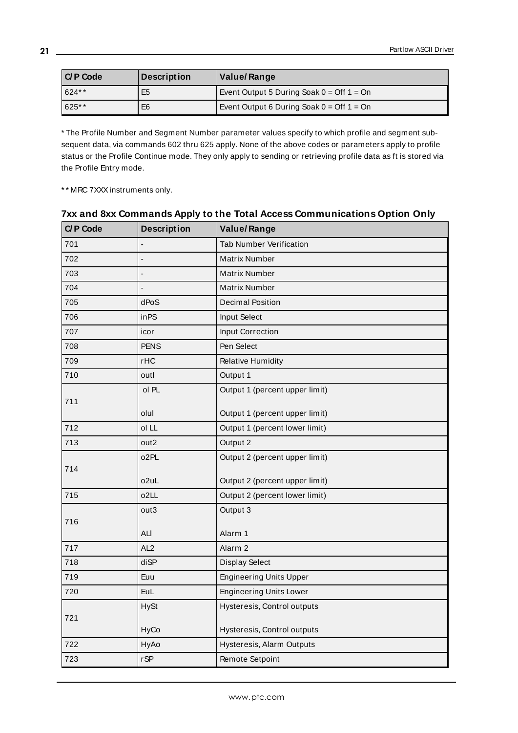| I C/P Code | <b>Description</b> | Value/Range                                                 |
|------------|--------------------|-------------------------------------------------------------|
| 624**      | E <sub>5</sub>     | Event Output 5 During Soak $0 =$ Off 1 = On                 |
| 625**      | E <sub>6</sub>     | Event Output 6 During Soak $0 = \text{Off } 1 = \text{On }$ |

\* The Profile Number and Segment Number parameter values specify to which profile and segment subsequent data, via commands 602 thru 625 apply. None of the above codes or parameters apply to profile status or the Profile Continue mode. They only apply to sending or retrieving profile data as ft is stored via the Profile Entry mode.

\* \* MRC 7XXX instruments only.

| <b>C/P Code</b> | <b>Description</b>       | <b>Value/Range</b>             |
|-----------------|--------------------------|--------------------------------|
| 701             |                          | <b>Tab Number Verification</b> |
| 702             | $\overline{a}$           | <b>Matrix Number</b>           |
| 703             | $\overline{\phantom{a}}$ | <b>Matrix Number</b>           |
| 704             |                          | <b>Matrix Number</b>           |
| 705             | dPoS                     | <b>Decimal Position</b>        |
| 706             | inPS                     | Input Select                   |
| 707             | icor                     | Input Correction               |
| 708             | <b>PENS</b>              | Pen Select                     |
| 709             | rHC                      | <b>Relative Humidity</b>       |
| 710             | outl                     | Output 1                       |
|                 | ol PL                    | Output 1 (percent upper limit) |
| 711             |                          |                                |
|                 | olul                     | Output 1 (percent upper limit) |
| 712             | ol LL                    | Output 1 (percent lower limit) |
| 713             | out <sub>2</sub>         | Output 2                       |
| 714             | o <sub>2</sub> PL        | Output 2 (percent upper limit) |
|                 | o2uL                     | Output 2 (percent upper limit) |
| 715             | o <sub>2</sub> LL        | Output 2 (percent lower limit) |
|                 | out3                     | Output 3                       |
| 716             |                          |                                |
|                 | ALI                      | Alarm 1                        |
| 717             | AL <sub>2</sub>          | Alarm <sub>2</sub>             |
| 718             | diSP                     | <b>Display Select</b>          |
| 719             | Euu                      | <b>Engineering Units Upper</b> |
| 720             | <b>EuL</b>               | <b>Engineering Units Lower</b> |
|                 | <b>HySt</b>              | Hysteresis, Control outputs    |
| 721             | HyCo                     | Hysteresis, Control outputs    |
| 722             | HyAo                     | Hysteresis, Alarm Outputs      |
| 723             | rSP                      | Remote Setpoint                |

### **7xx and 8xx Commands Apply to the Total Access Communications Option Only**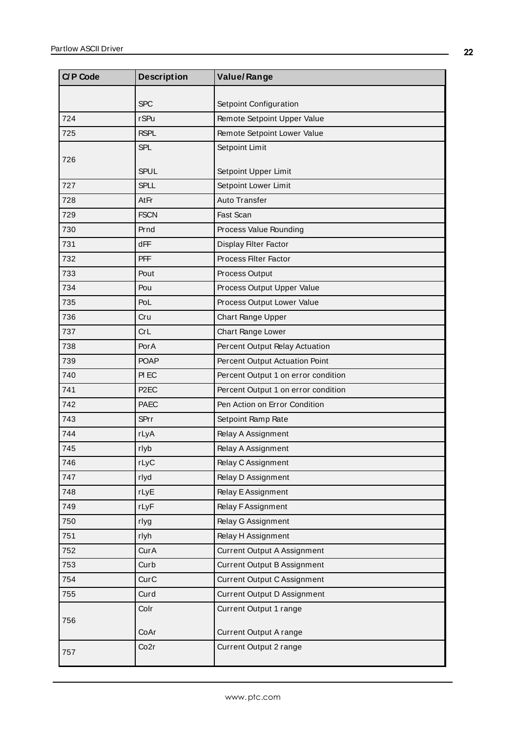| <b>C/P Code</b> | <b>Description</b> | <b>Value/Range</b>                  |
|-----------------|--------------------|-------------------------------------|
|                 | <b>SPC</b>         | Setpoint Configuration              |
| 724             | <b>rSPu</b>        | Remote Setpoint Upper Value         |
| 725             | <b>RSPL</b>        | Remote Setpoint Lower Value         |
|                 | <b>SPL</b>         | Setpoint Limit                      |
| 726             |                    |                                     |
|                 | <b>SPUL</b>        | Setpoint Upper Limit                |
| 727             | <b>SPLL</b>        | Setpoint Lower Limit                |
| 728             | AtFr               | <b>Auto Transfer</b>                |
| 729             | <b>FSCN</b>        | Fast Scan                           |
| 730             | Prnd               | Process Value Rounding              |
| 731             | dFF                | Display Filter Factor               |
| 732             | <b>PFF</b>         | Process Filter Factor               |
| 733             | Pout               | Process Output                      |
| 734             | Pou                | Process Output Upper Value          |
| 735             | PoL                | Process Output Lower Value          |
| 736             | Cru                | Chart Range Upper                   |
| 737             | CrL                | Chart Range Lower                   |
| 738             | PorA               | Percent Output Relay Actuation      |
| 739             | <b>POAP</b>        | Percent Output Actuation Point      |
| 740             | PI EC              | Percent Output 1 on error condition |
| 741             | P <sub>2</sub> EC  | Percent Output 1 on error condition |
| 742             | <b>PAEC</b>        | Pen Action on Error Condition       |
| 743             | SPrr               | Setpoint Ramp Rate                  |
| 744             | rLyA               | Relay A Assignment                  |
| 745             | rlyb               | Relay A Assignment                  |
| 746             | rLyC               | Relay C Assignment                  |
| 747             | rlyd               | Relay D Assignment                  |
| 748             | rLyE               | Relay E Assignment                  |
| 749             | rLyF               | Relay F Assignment                  |
| 750             | rlyg               | Relay G Assignment                  |
| 751             | rlyh               | Relay H Assignment                  |
| 752             | CurA               | <b>Current Output A Assignment</b>  |
| 753             | Curb               | Current Output B Assignment         |
| 754             | CurC               | Current Output C Assignment         |
| 755             | Curd               | Current Output D Assignment         |
|                 | Colr               | Current Output 1 range              |
| 756             |                    |                                     |
|                 | CoAr               | Current Output A range              |
| 757             | Co <sub>2r</sub>   | Current Output 2 range              |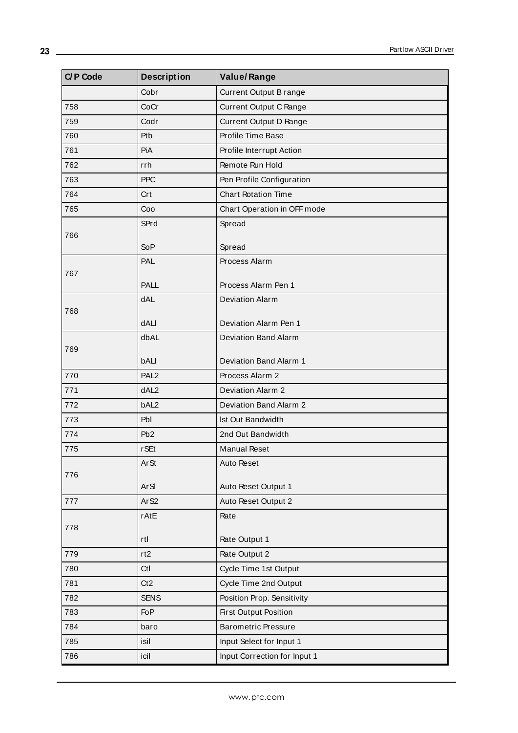| Cobr<br>Current Output B range<br>758<br>CoCr<br><b>Current Output C Range</b><br>759<br>Codr<br>Current Output D Range |  |
|-------------------------------------------------------------------------------------------------------------------------|--|
|                                                                                                                         |  |
|                                                                                                                         |  |
|                                                                                                                         |  |
| Profile Time Base<br>760<br>Ptb                                                                                         |  |
| 761<br>PiA<br>Profile Interrupt Action                                                                                  |  |
| Remote Run Hold<br>762<br>rrh                                                                                           |  |
| 763<br><b>PPC</b><br>Pen Profile Configuration                                                                          |  |
| 764<br><b>Chart Rotation Time</b><br>Crt                                                                                |  |
| Coo<br>Chart Operation in OFF mode<br>765                                                                               |  |
| SPrd<br>Spread                                                                                                          |  |
| 766                                                                                                                     |  |
| <b>SoP</b><br>Spread                                                                                                    |  |
| PAL<br>Process Alarm<br>767                                                                                             |  |
| PALL<br>Process Alarm Pen 1                                                                                             |  |
| <b>dAL</b><br><b>Deviation Alarm</b>                                                                                    |  |
| 768                                                                                                                     |  |
| dALI<br>Deviation Alarm Pen 1                                                                                           |  |
| dbAL<br><b>Deviation Band Alarm</b>                                                                                     |  |
| 769<br>bALI<br>Deviation Band Alarm 1                                                                                   |  |
| PAL <sub>2</sub><br>Process Alarm 2<br>770                                                                              |  |
| dAL <sub>2</sub><br>771<br>Deviation Alarm 2                                                                            |  |
| bAL <sub>2</sub><br>Deviation Band Alarm 2<br>772                                                                       |  |
| 773<br>Pbl<br>Ist Out Bandwidth                                                                                         |  |
| 774<br>P <sub>b</sub> 2<br>2nd Out Bandwidth                                                                            |  |
| <b>rSEt</b><br><b>Manual Reset</b><br>775                                                                               |  |
| <b>ArSt</b><br>Auto Reset                                                                                               |  |
| 776                                                                                                                     |  |
| <b>ArSI</b><br>Auto Reset Output 1                                                                                      |  |
| Ar <sub>S2</sub><br>Auto Reset Output 2<br>777                                                                          |  |
| Rate<br>rAtE                                                                                                            |  |
| 778<br>Rate Output 1<br>rtl                                                                                             |  |
| Rate Output 2<br>779<br>rt2                                                                                             |  |
| 780<br>Ctl<br>Cycle Time 1st Output                                                                                     |  |
| 781<br>Ct2<br>Cycle Time 2nd Output                                                                                     |  |
| 782<br><b>SENS</b><br>Position Prop. Sensitivity                                                                        |  |
| 783<br>FoP<br><b>First Output Position</b>                                                                              |  |
| 784<br><b>Barometric Pressure</b><br>baro                                                                               |  |
| 785<br>Input Select for Input 1<br>isil                                                                                 |  |
| Input Correction for Input 1<br>786<br>icil                                                                             |  |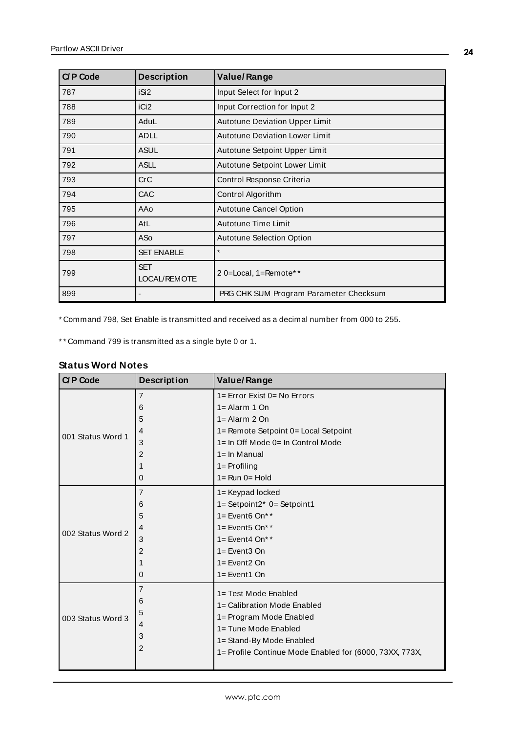| <b>C/P Code</b> | <b>Description</b>                | <b>Value/Range</b>                     |
|-----------------|-----------------------------------|----------------------------------------|
| 787             | iSi <sub>2</sub>                  | Input Select for Input 2               |
| 788             | iCi <sub>2</sub>                  | Input Correction for Input 2           |
| 789             | AduL                              | <b>Autotune Deviation Upper Limit</b>  |
| 790             | <b>ADLL</b>                       | Autotune Deviation Lower Limit         |
| 791             | <b>ASUL</b>                       | Autotune Setpoint Upper Limit          |
| 792             | <b>ASLL</b>                       | Autotune Setpoint Lower Limit          |
| 793             | CrC                               | Control Response Criteria              |
| 794             | <b>CAC</b>                        | Control Algorithm                      |
| 795             | AAo                               | <b>Autotune Cancel Option</b>          |
| 796             | AtL                               | Autotune Time Limit                    |
| 797             | AS <sub>o</sub>                   | <b>Autotune Selection Option</b>       |
| 798             | <b>SET ENABLE</b>                 | $\star$                                |
| 799             | <b>SET</b><br><b>LOCAL/REMOTE</b> | 2 0=Local, 1=Remote**                  |
| 899             |                                   | PRG CHK SUM Program Parameter Checksum |

\* Command 798, Set Enable is transmitted and received as a decimal number from 000 to 255.

<span id="page-23-0"></span>\* \* Command 799 is transmitted as a single byte 0 or 1.

#### **Status Word Notes**

| <b>C/P Code</b>   | <b>Description</b>                                   | <b>Value/Range</b>                                                                                                                                                                            |
|-------------------|------------------------------------------------------|-----------------------------------------------------------------------------------------------------------------------------------------------------------------------------------------------|
| 001 Status Word 1 | 7                                                    | $1 =$ Error Exist $0 =$ No Errors                                                                                                                                                             |
|                   | 6                                                    | $1 =$ Alarm 1 On                                                                                                                                                                              |
|                   | 5                                                    | $1 =$ Alarm 2 On                                                                                                                                                                              |
|                   | 4                                                    | 1= Remote Setpoint 0= Local Setpoint                                                                                                                                                          |
|                   | 3                                                    | 1= In Off Mode 0= In Control Mode                                                                                                                                                             |
|                   | $\overline{c}$                                       | $1 = \ln$ Manual                                                                                                                                                                              |
|                   | 1                                                    | $1 =$ Profiling                                                                                                                                                                               |
|                   | 0                                                    | $1 = \text{Run } 0 = \text{Hold}$                                                                                                                                                             |
|                   | 7                                                    | 1= Keypad locked                                                                                                                                                                              |
|                   | 6                                                    | $1 =$ Setpoint2* $0 =$ Setpoint1                                                                                                                                                              |
|                   | 5                                                    | $1 =$ Event <sub>6</sub> On**                                                                                                                                                                 |
| 002 Status Word 2 | 4                                                    | $1 =$ Event <sub>5</sub> On**                                                                                                                                                                 |
|                   | 3                                                    | $1 =$ Event4 On**                                                                                                                                                                             |
|                   | 2                                                    | $1 =$ Event 3 On                                                                                                                                                                              |
|                   | 1                                                    | $1 =$ Event $2$ On                                                                                                                                                                            |
|                   | 0                                                    | $1 =$ Event1 On                                                                                                                                                                               |
| 003 Status Word 3 | 7<br>6<br>5<br>$\overline{4}$<br>3<br>$\overline{c}$ | 1= Test Mode Enabled<br>1= Calibration Mode Enabled<br>1= Program Mode Enabled<br>1= Tune Mode Enabled<br>1= Stand-By Mode Enabled<br>1= Profile Continue Mode Enabled for (6000, 73XX, 773X, |
|                   |                                                      |                                                                                                                                                                                               |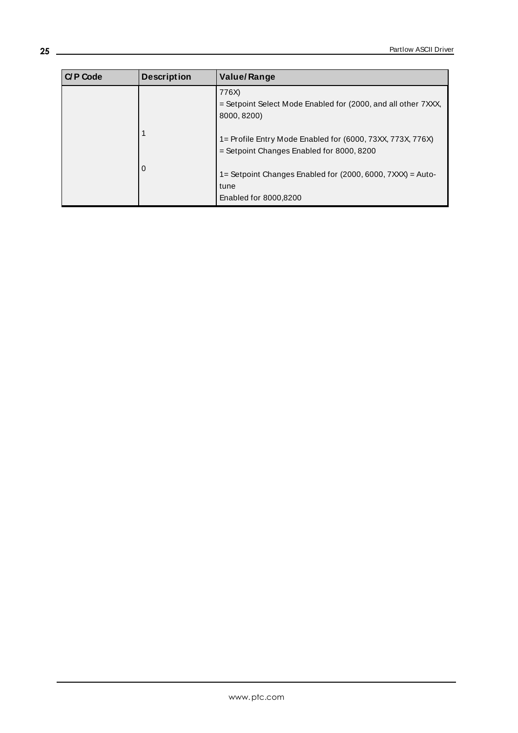| C/P Code | <b>Description</b> | <b>Value/Range</b>                                                                                      |
|----------|--------------------|---------------------------------------------------------------------------------------------------------|
|          |                    | 776X)<br>= Setpoint Select Mode Enabled for (2000, and all other 7XXX,<br>8000, 8200)                   |
|          |                    | 1= Profile Entry Mode Enabled for (6000, 73XX, 773X, 776X)<br>= Setpoint Changes Enabled for 8000, 8200 |
|          | $\Omega$           | 1= Setpoint Changes Enabled for (2000, 6000, 7XXX) = Auto-<br>tune<br>Enabled for 8000,8200             |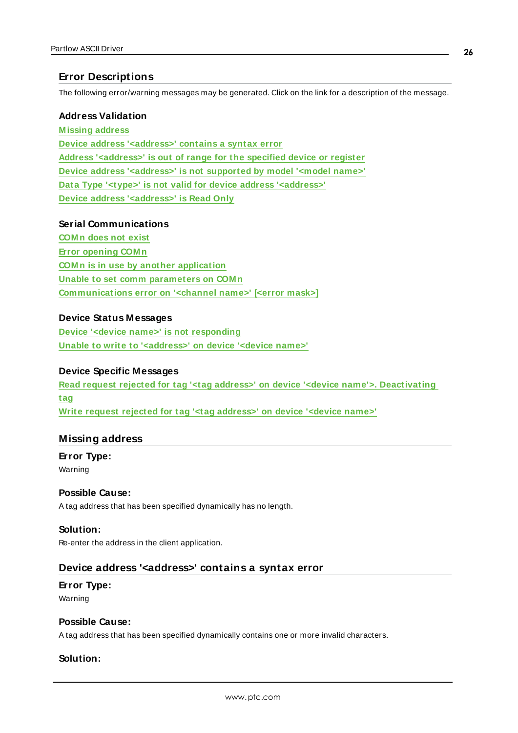### <span id="page-25-0"></span>**Error Descriptions**

The following error/warning messages may be generated. Click on the link for a description of the message.

#### **Address Validation**

**[M issing](#page-25-1) address Device address ['<address>'](#page-25-2) contains a syntax error Address ['<address>'](#page-26-0) is out of range for the specified device or register Device address ['<address>'](#page-26-1) is not supported by model '<model name>' Data Type '<type>' is not valid for device address ['<address>'](#page-26-2) Device address ['<address>'](#page-26-3) is Read Only**

#### **Serial Communications**

**[COM n](#page-27-0) does not exist Error [opening](#page-27-1) COM n COM n is in use by another [application](#page-27-2) Unable to set comm [parameters](#page-27-3) on COM n [Communications](#page-27-4) error on '<channel name>' [<error mask>]**

#### **Device Status Messages**

**Device '<device name>' is not [responding](#page-28-0) Unable to write to ['<address>'](#page-28-1) on device '<device name>'**

#### **Device Specific Messages**

**Read request rejected for tag '<tag address>' on device '<device name'>. [Deactivating](#page-29-0) [tag](#page-29-0) Write request rejected for tag '<tag [address>'](#page-29-1) on device '<device name>'**

#### <span id="page-25-1"></span>**Missing address**

**Error Type:** Warning

#### **Possible Cause:**

A tag address that has been specified dynamically has no length.

#### **Solution:**

<span id="page-25-2"></span>Re-enter the address in the client application.

#### **Device address '<address>' contains a syntax error**

#### **Error Type:**

Warning

#### **Possible Cause:**

A tag address that has been specified dynamically contains one or more invalid characters.

#### **Solution:**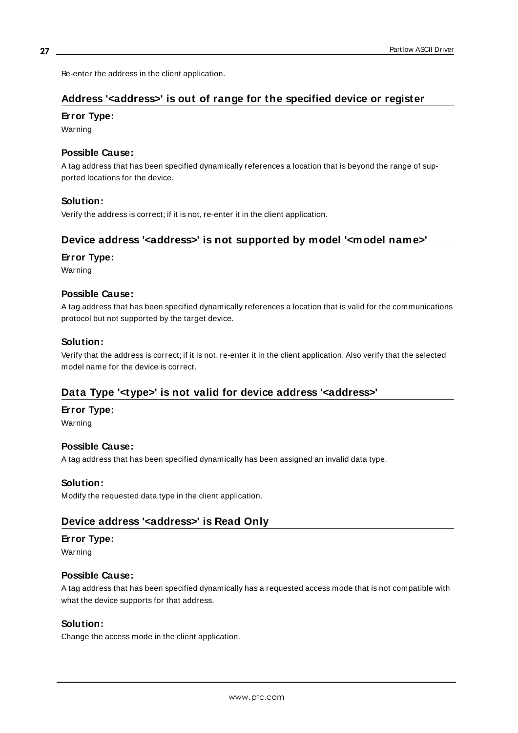<span id="page-26-0"></span>Re-enter the address in the client application.

### **Address '<address>' is out of range for the specified device or register**

#### **Error Type:**

Warning

#### **Possible Cause:**

A tag address that has been specified dynamically references a location that is beyond the range of supported locations for the device.

#### **Solution:**

<span id="page-26-1"></span>Verify the address is correct; if it is not, re-enter it in the client application.

### **Device address '<address>' is not supported by model '<model name>'**

#### **Error Type:**

Warning

#### **Possible Cause:**

A tag address that has been specified dynamically references a location that is valid for the communications protocol but not supported by the target device.

#### **Solution:**

Verify that the address is correct; if it is not, re-enter it in the client application. Also verify that the selected model name for the device is correct.

### <span id="page-26-2"></span>**Data Type '<type>' is not valid for device address '<address>'**

#### **Error Type:**

Warning

#### **Possible Cause:**

A tag address that has been specified dynamically has been assigned an invalid data type.

#### **Solution:**

<span id="page-26-3"></span>Modify the requested data type in the client application.

#### **Device address '<address>' is Read Only**

#### **Error Type:**

Warning

#### **Possible Cause:**

A tag address that has been specified dynamically has a requested access mode that is not compatible with what the device supports for that address.

#### **Solution:**

Change the access mode in the client application.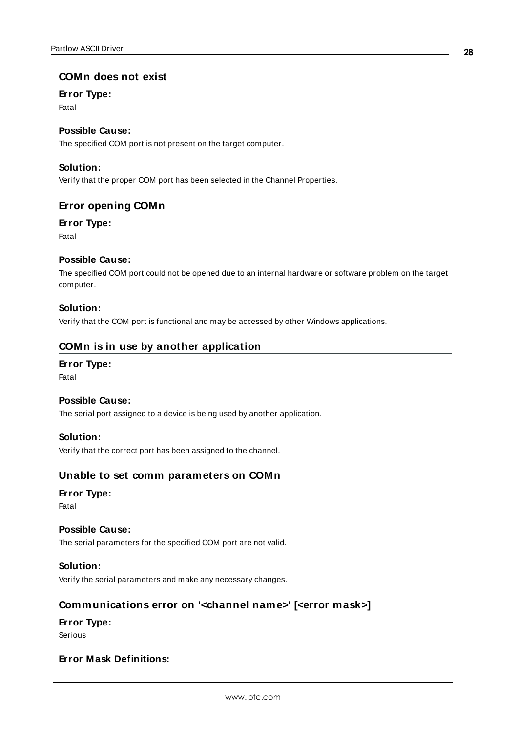#### <span id="page-27-0"></span>**COMn does not exist**

#### **Error Type:**

Fatal

### **Possible Cause:**

The specified COM port is not present on the target computer.

#### **Solution:**

<span id="page-27-1"></span>Verify that the proper COM port has been selected in the Channel Properties.

### **Error opening COMn**

#### **Error Type:**

Fatal

#### **Possible Cause:**

The specified COM port could not be opened due to an internal hardware or software problem on the target computer.

#### **Solution:**

<span id="page-27-2"></span>Verify that the COM port is functional and may be accessed by other Windows applications.

#### **COMn is in use by another application**

#### **Error Type:**

Fatal

#### **Possible Cause:**

The serial port assigned to a device is being used by another application.

#### **Solution:**

<span id="page-27-3"></span>Verify that the correct port has been assigned to the channel.

#### **Unable to set comm parameters on COMn**

#### **Error Type:**

Fatal

#### **Possible Cause:**

The serial parameters for the specified COM port are not valid.

#### **Solution:**

<span id="page-27-4"></span>Verify the serial parameters and make any necessary changes.

### **Communications error on '<channel name>' [<error mask>]**

#### **Error Type:**

Serious

#### **Error Mask Definitions:**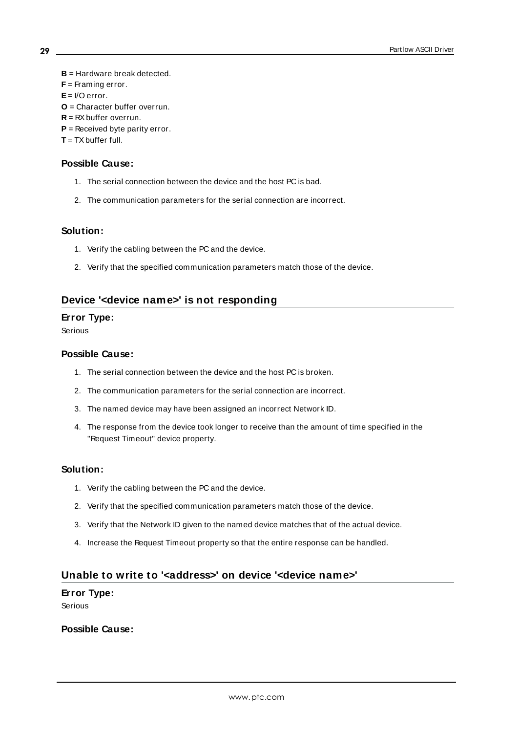<span id="page-28-3"></span><span id="page-28-2"></span>**B** = Hardware break detected. **F** = Framing error.  $E = I/O$  error. **O** = Character buffer overrun.  $R = RX$  buffer overrun. **P** = Received byte parity error.

<span id="page-28-4"></span>**T** = TXbuffer full.

#### **Possible Cause:**

- 1. The serial connection between the device and the host PC is bad.
- 2. The communication parameters for the serial connection are incorrect.

#### **Solution:**

- 1. Verify the cabling between the PC and the device.
- 2. Verify that the specified communication parameters match those of the device.

#### <span id="page-28-0"></span>**Device '<device name>' is not responding**

#### **Error Type:**

Serious

#### **Possible Cause:**

- 1. The serial connection between the device and the host PC is broken.
- 2. The communication parameters for the serial connection are incorrect.
- 3. The named device may have been assigned an incorrect Network ID.
- 4. The response from the device took longer to receive than the amount of time specified in the "Request Timeout" device property.

#### **Solution:**

- 1. Verify the cabling between the PC and the device.
- 2. Verify that the specified communication parameters match those of the device.
- 3. Verify that the Network ID given to the named device matches that of the actual device.
- 4. Increase the Request Timeout property so that the entire response can be handled.

#### <span id="page-28-1"></span>**Unable to write to '<address>' on device '<device name>'**

#### **Error Type:**

Serious

#### **Possible Cause:**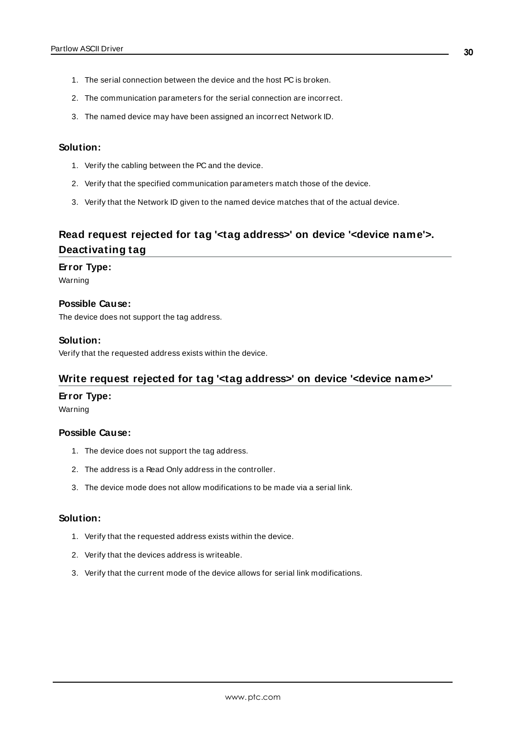- 1. The serial connection between the device and the host PC is broken.
- 2. The communication parameters for the serial connection are incorrect.
- 3. The named device may have been assigned an incorrect Network ID.

#### **Solution:**

- 1. Verify the cabling between the PC and the device.
- 2. Verify that the specified communication parameters match those of the device.
- 3. Verify that the Network ID given to the named device matches that of the actual device.

# <span id="page-29-0"></span>**Read request rejected for tag '<tag address>' on device '<device name'>. Deactivating tag**

#### **Error Type:**

Warning

**Possible Cause:** The device does not support the tag address.

#### **Solution:**

<span id="page-29-1"></span>Verify that the requested address exists within the device.

#### **Write request rejected for tag '<tag address>' on device '<device name>'**

#### **Error Type:**

Warning

#### **Possible Cause:**

- 1. The device does not support the tag address.
- 2. The address is a Read Only address in the controller.
- 3. The device mode does not allow modifications to be made via a serial link.

#### **Solution:**

- 1. Verify that the requested address exists within the device.
- 2. Verify that the devices address is writeable.
- 3. Verify that the current mode of the device allows for serial link modifications.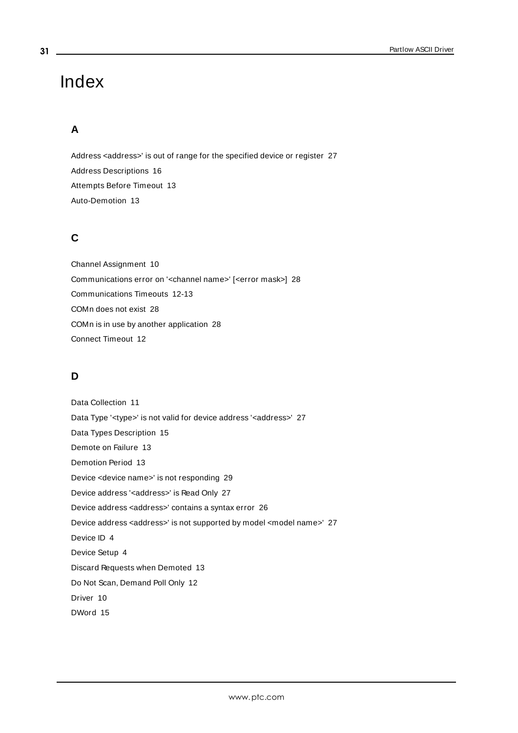# <span id="page-30-0"></span>Index

# **A**

Address <address>' is out of range for the specified device or register [27](#page-26-0) Address Descriptions [16](#page-15-0) Attempts Before Timeout [13](#page-12-1) Auto-Demotion [13](#page-12-0)

# **C**

Channel Assignment [10](#page-9-1) Communications error on '<channel name>' [<error mask>] [28](#page-27-4) Communications Timeouts [12-13](#page-11-1) COMn does not exist [28](#page-27-0) COMn is in use by another application [28](#page-27-2) Connect Timeout [12](#page-11-2)

# **D**

Data Collection [11](#page-10-2) Data Type '<type>' is not valid for device address '<address>' [27](#page-26-2) Data Types Description [15](#page-14-0) Demote on Failure [13](#page-12-2) Demotion Period [13](#page-12-3) Device <device name>' is not responding [29](#page-28-0) Device address '<address>' is Read Only [27](#page-26-3) Device address <address>' contains a syntax error [26](#page-25-2) Device address <address>' is not supported by model <model name>' [27](#page-26-1) Device ID [4](#page-3-2) Device Setup [4](#page-3-0) Discard Requests when Demoted [13](#page-12-4) Do Not Scan, Demand Poll Only [12](#page-11-3) Driver [10](#page-9-2) DWord [15](#page-14-1)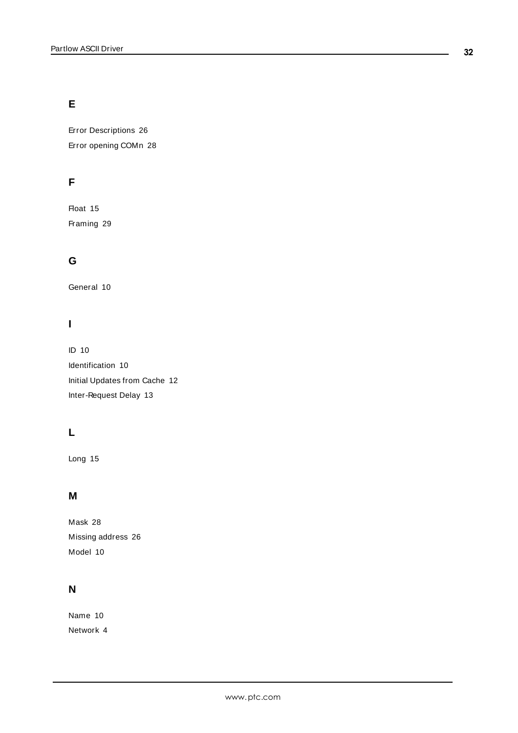# **E**

Error Descriptions [26](#page-25-0) Error opening COMn [28](#page-27-1)

# **F**

Float [15](#page-14-2) Framing [29](#page-28-2)

# **G**

General [10](#page-9-0)

# **I**

ID [10](#page-9-3) Identification [10](#page-9-0) Initial Updates from Cache [12](#page-11-4) Inter-Request Delay [13](#page-12-5)

# **L**

Long [15](#page-14-3)

# **M**

Mask [28](#page-27-4) Missing address [26](#page-25-1) Model [10](#page-9-4)

# **N**

Name [10](#page-9-5) Network [4](#page-3-3)